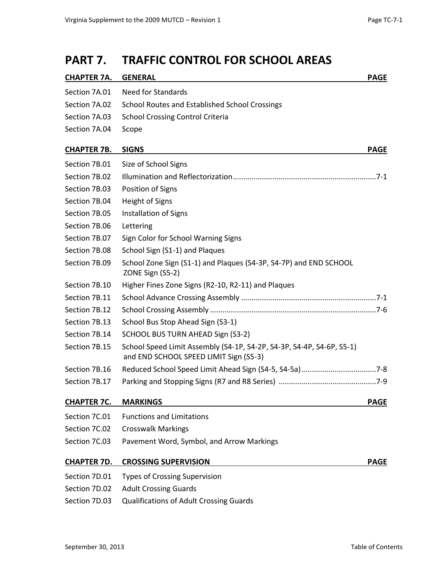### **PART 7. TRAFFIC CONTROL FOR SCHOOL AREAS**

| <b>CHAPTER 7A.</b> | <b>GENERAL</b>                                                                                                  | <b>PAGE</b> |
|--------------------|-----------------------------------------------------------------------------------------------------------------|-------------|
| Section 7A.01      | <b>Need for Standards</b>                                                                                       |             |
| Section 7A.02      | School Routes and Established School Crossings                                                                  |             |
| Section 7A.03      | <b>School Crossing Control Criteria</b>                                                                         |             |
| Section 7A.04      | Scope                                                                                                           |             |
| <b>CHAPTER 7B.</b> | <b>SIGNS</b>                                                                                                    | <b>PAGE</b> |
| Section 7B.01      | Size of School Signs                                                                                            |             |
| Section 7B.02      |                                                                                                                 |             |
| Section 7B.03      | Position of Signs                                                                                               |             |
| Section 7B.04      | Height of Signs                                                                                                 |             |
| Section 7B.05      | Installation of Signs                                                                                           |             |
| Section 7B.06      | Lettering                                                                                                       |             |
| Section 7B.07      | Sign Color for School Warning Signs                                                                             |             |
| Section 7B.08      | School Sign (S1-1) and Plaques                                                                                  |             |
| Section 7B.09      | School Zone Sign (S1-1) and Plaques (S4-3P, S4-7P) and END SCHOOL<br>ZONE Sign (S5-2)                           |             |
| Section 7B.10      | Higher Fines Zone Signs (R2-10, R2-11) and Plaques                                                              |             |
| Section 7B.11      |                                                                                                                 |             |
| Section 7B.12      |                                                                                                                 |             |
| Section 7B.13      | School Bus Stop Ahead Sign (S3-1)                                                                               |             |
| Section 7B.14      | SCHOOL BUS TURN AHEAD Sign (S3-2)                                                                               |             |
| Section 7B.15      | School Speed Limit Assembly (S4-1P, S4-2P, S4-3P, S4-4P, S4-6P, S5-1)<br>and END SCHOOL SPEED LIMIT Sign (S5-3) |             |
| Section 7B.16      |                                                                                                                 |             |
| Section 7B.17      |                                                                                                                 |             |
| <b>CHAPTER 7C.</b> | <b>MARKINGS</b>                                                                                                 | <b>PAGE</b> |
| Section 7C.01      | <b>Functions and Limitations</b>                                                                                |             |
| Section 7C.02      | <b>Crosswalk Markings</b>                                                                                       |             |
| Section 7C.03      | Pavement Word, Symbol, and Arrow Markings                                                                       |             |
| <b>CHAPTER 7D.</b> | <b>CROSSING SUPERVISION</b>                                                                                     | <b>PAGE</b> |
| Section 7D.01      | <b>Types of Crossing Supervision</b>                                                                            |             |
| Section 7D.02      | <b>Adult Crossing Guards</b>                                                                                    |             |

[Section 7D.03](http://mutcd.fhwa.dot.gov/htm/2009/part7/part7d.htm#section7D03) Qualifications of Adult Crossing Guards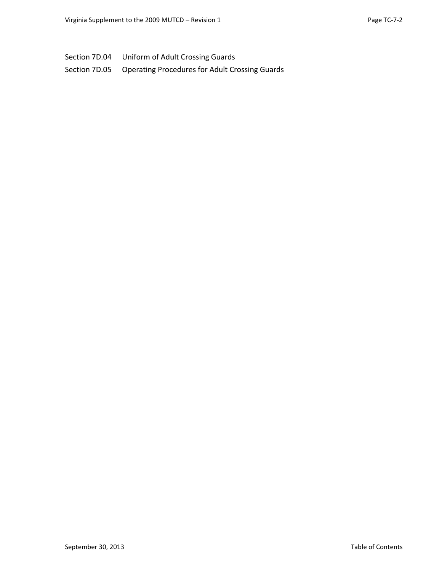[Section 7D.04](http://mutcd.fhwa.dot.gov/htm/2009/part7/part7d.htm#section7D04) Uniform of Adult Crossing Guards

[Section 7D.05](http://mutcd.fhwa.dot.gov/htm/2009/part7/part7d.htm#section7D05) Operating Procedures for Adult Crossing Guards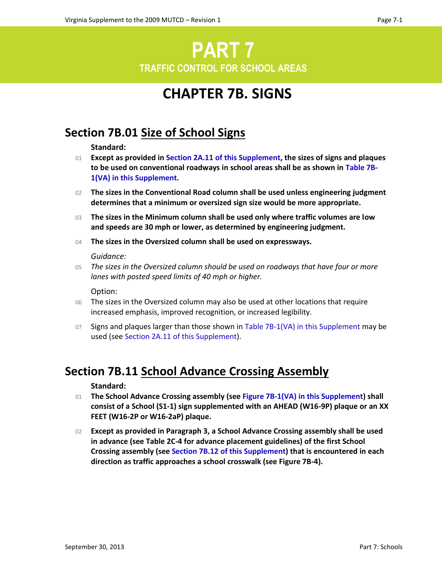# **PART 7 TRAFFIC CONTROL FOR SCHOOL AREAS**

# **CHAPTER 7B. SIGNS**

### **Section 7B.01 Size of School Signs**

#### **Standard:**

- 01 **Except as provided in Section 2A.11 of this Supplement, the sizes of signs and plaques to be used on conventional roadways in school areas shall be as shown in Table 7B-1(VA) in this Supplement.**
- 02 **The sizes in the Conventional Road column shall be used unless engineering judgment determines that a minimum or oversized sign size would be more appropriate.**
- 03 **The sizes in the Minimum column shall be used only where traffic volumes are low and speeds are 30 mph or lower, as determined by engineering judgment.**
- 04 **The sizes in the Oversized column shall be used on expressways.**

#### *Guidance:*

05 *The sizes in the Oversized column should be used on roadways that have four or more lanes with posted speed limits of 40 mph or higher.*

#### Option:

- 06 The sizes in the Oversized column may also be used at other locations that require increased emphasis, improved recognition, or increased legibility.
- 07 Signs and plaques larger than those shown in Table 7B-1(VA) in this Supplement may be used (see Section 2A.11 of this Supplement).

### **Section 7B.11 School Advance Crossing Assembly**

#### **Standard:**

- 01 **The School Advance Crossing assembly (see Figure 7B-1(VA) in this Supplement) shall consist of a School (S1-1) sign supplemented with an AHEAD (W16-9P) plaque or an XX FEET (W16-2P or W16-2aP) plaque.**
- 02 **Except as provided in Paragraph 3, a School Advance Crossing assembly shall be used in advance (see Table 2C-4 for advance placement guidelines) of the first School Crossing assembly (see Section 7B.12 of this Supplement) that is encountered in each direction as traffic approaches a school crosswalk (see Figure 7B-4).**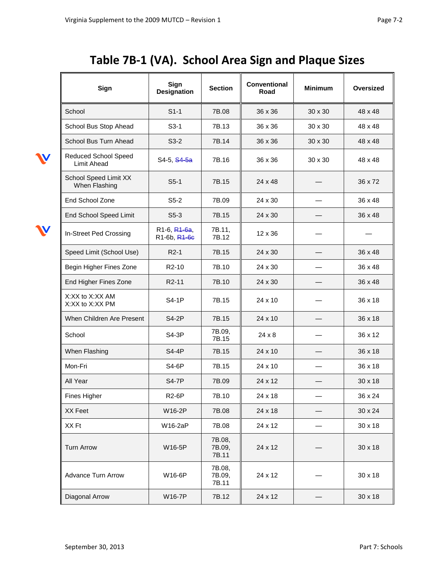# **Table 7B-1 (VA). School Area Sign and Plaque Sizes**

| Sign                                              | Sign<br><b>Designation</b>   | <b>Section</b>            | <b>Conventional</b><br>Road | <b>Minimum</b> | Oversized      |
|---------------------------------------------------|------------------------------|---------------------------|-----------------------------|----------------|----------------|
| School                                            | $S1-1$                       | 7B.08                     | 36 x 36                     | $30 \times 30$ | 48 x 48        |
| School Bus Stop Ahead                             | $S3-1$                       | 7B.13                     | $36 \times 36$              | $30 \times 30$ | 48 x 48        |
| School Bus Turn Ahead                             | $S3-2$                       | 7B.14                     | 36 x 36                     | $30 \times 30$ | 48 x 48        |
| <b>Reduced School Speed</b><br><b>Limit Ahead</b> | S4-5, S4-5a                  | 7B.16                     | 36 x 36                     | 30 x 30        | 48 x 48        |
| School Speed Limit XX<br>When Flashing            | $S5-1$                       | 7B.15                     | 24 x 48                     |                | 36 x 72        |
| End School Zone                                   | $S5-2$                       | 7B.09                     | 24 x 30                     |                | 36 x 48        |
| End School Speed Limit                            | $S5-3$                       | 7B.15                     | 24 x 30                     |                | 36 x 48        |
| In-Street Ped Crossing                            | R1-6, R1-6a,<br>R1-6b, R1-6e | 7B.11,<br>7B.12           | $12 \times 36$              |                |                |
| Speed Limit (School Use)                          | $R2-1$                       | 7B.15                     | 24 x 30                     |                | 36 x 48        |
| Begin Higher Fines Zone                           | R <sub>2</sub> -10           | 7B.10                     | 24 x 30                     |                | 36 x 48        |
| End Higher Fines Zone                             | R <sub>2</sub> -11           | 7B.10                     | 24 x 30                     |                | 36 x 48        |
| X:XX to X:XX AM<br>X:XX to X:XX PM                | <b>S4-1P</b>                 | 7B.15                     | $24 \times 10$              |                | 36 x 18        |
| When Children Are Present                         | <b>S4-2P</b>                 | 7B.15                     | 24 x 10                     |                | 36 x 18        |
| School                                            | S4-3P                        | 7B.09,<br>7B.15           | 24 x 8                      |                | 36 x 12        |
| When Flashing                                     | <b>S4-4P</b>                 | 7B.15                     | $24 \times 10$              |                | 36 x 18        |
| Mon-Fri                                           | S4-6P                        | 7B.15                     | 24 x 10                     |                | 36 x 18        |
| All Year                                          | <b>S4-7P</b>                 | 7B.09                     | 24 x 12                     |                | $30 \times 18$ |
| Fines Higher                                      | <b>R2-6P</b>                 | 7B.10                     | 24 x 18                     |                | 36 x 24        |
| XX Feet                                           | W16-2P                       | 7B.08                     | 24 x 18                     |                | 30 x 24        |
| XX Ft                                             | W16-2aP                      | 7B.08                     | 24 x 12                     |                | 30 x 18        |
| <b>Turn Arrow</b>                                 | W16-5P                       | 7B.08,<br>7B.09,<br>7B.11 | 24 x 12                     |                | 30 x 18        |
| <b>Advance Turn Arrow</b>                         | W16-6P                       | 7B.08,<br>7B.09,<br>7B.11 | 24 x 12                     |                | 30 x 18        |
| Diagonal Arrow                                    | W16-7P                       | 7B.12                     | 24 x 12                     |                | 30 x 18        |

 $\boldsymbol{\mathsf{N}}$ 

W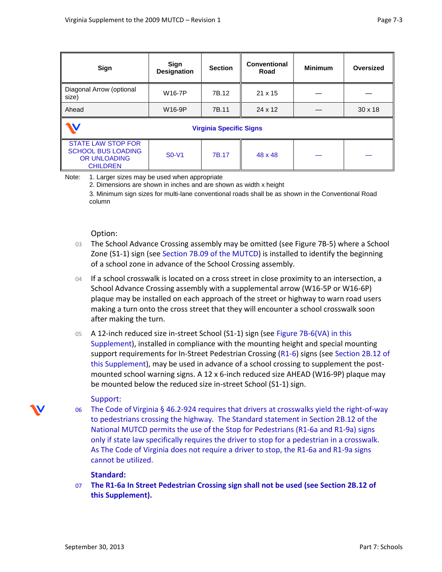| Sign                                                                                             | Sign<br><b>Designation</b> | <b>Section</b> | Conventional<br>Road | <b>Minimum</b> | Oversized      |  |  |  |
|--------------------------------------------------------------------------------------------------|----------------------------|----------------|----------------------|----------------|----------------|--|--|--|
| Diagonal Arrow (optional<br>size)                                                                | W16-7P                     | 7B.12          | $21 \times 15$       |                |                |  |  |  |
| Ahead                                                                                            | W16-9P                     | 7B.11          | $24 \times 12$       |                | $30 \times 18$ |  |  |  |
| <b>Virginia Specific Signs</b>                                                                   |                            |                |                      |                |                |  |  |  |
| <b>STATE LAW STOP FOR</b><br><b>SCHOOL BUS LOADING</b><br><b>OR UNLOADING</b><br><b>CHILDREN</b> | $SO-V1$                    | 7B.17          | 48 x 48              |                |                |  |  |  |

Note: 1. Larger sizes may be used when appropriate

2. Dimensions are shown in inches and are shown as width x height

3. Minimum sign sizes for multi-lane conventional roads shall be as shown in the Conventional Road column

#### Option:

- 03 The School Advance Crossing assembly may be omitted (see Figure 7B-5) where a School Zone (S1-1) sign (see Section 7B.09 of the MUTCD) is installed to identify the beginning of a school zone in advance of the School Crossing assembly.
- 04 If a school crosswalk is located on a cross street in close proximity to an intersection, a School Advance Crossing assembly with a supplemental arrow (W16-5P or W16-6P) plaque may be installed on each approach of the street or highway to warn road users making a turn onto the cross street that they will encounter a school crosswalk soon after making the turn.
- 05 A 12-inch reduced size in-street School (S1-1) sign (see Figure 7B-6(VA) in this Supplement), installed in compliance with the mounting height and special mounting support requirements for In-Street Pedestrian Crossing (R1-6) signs (see Section 2B.12 of this Supplement), may be used in advance of a school crossing to supplement the postmounted school warning signs. A 12 x 6-inch reduced size AHEAD (W16-9P) plaque may be mounted below the reduced size in-street School (S1-1) sign.

#### Support:

06 The Code of Virginia § 46.2-924 requires that drivers at crosswalks yield the right-of-way to pedestrians crossing the highway. The Standard statement in Section 2B.12 of the National MUTCD permits the use of the Stop for Pedestrians (R1-6a and R1-9a) signs only if state law specifically requires the driver to stop for a pedestrian in a crosswalk. As The Code of Virginia does not require a driver to stop, the R1-6a and R1-9a signs cannot be utilized.

#### **Standard:**

07 **The R1-6a In Street Pedestrian Crossing sign shall not be used (see Section 2B.12 of this Supplement).** 

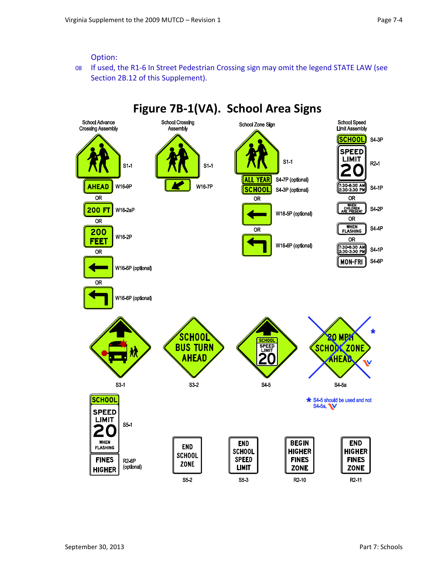#### Option:

08 If used, the R1-6 In Street Pedestrian Crossing sign may omit the legend STATE LAW (see Section 2B.12 of this Supplement).

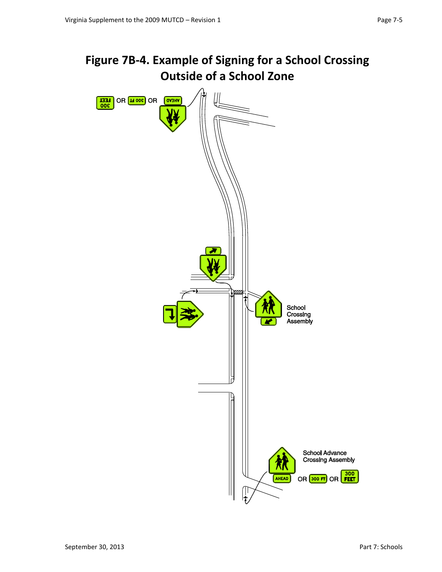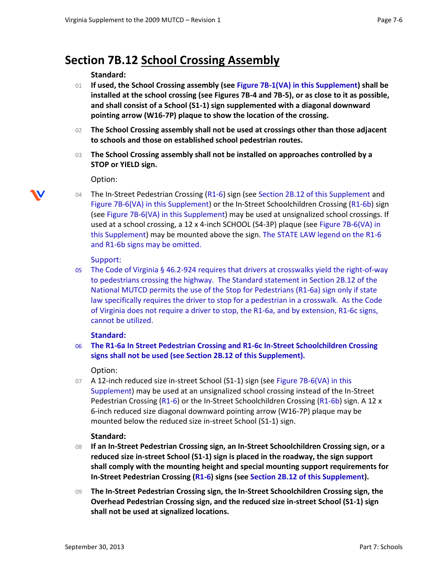### **Section 7B.12 School Crossing Assembly**

#### **Standard:**

- 01 **If used, the School Crossing assembly (see Figure 7B-1(VA) in this Supplement) shall be installed at the school crossing (see Figures 7B-4 and 7B-5), or as close to it as possible, and shall consist of a School (S1-1) sign supplemented with a diagonal downward pointing arrow (W16-7P) plaque to show the location of the crossing.**
- 02 **The School Crossing assembly shall not be used at crossings other than those adjacent to schools and those on established school pedestrian routes.**
- 03 **The School Crossing assembly shall not be installed on approaches controlled by a STOP or YIELD sign.**

#### Option:

04 The In-Street Pedestrian Crossing (R1-6) sign (see Section 2B.12 of this Supplement and Figure 7B-6(VA) in this Supplement) or the In-Street Schoolchildren Crossing (R1-6b) sign (see Figure 7B-6(VA) in this Supplement) may be used at unsignalized school crossings. If used at a school crossing, a 12 x 4-inch SCHOOL (S4-3P) plaque (see Figure 7B-6(VA) in this Supplement) may be mounted above the sign. The STATE LAW legend on the R1-6 and R1-6b signs may be omitted.

#### Support:

05 The Code of Virginia § 46.2-924 requires that drivers at crosswalks yield the right-of-way to pedestrians crossing the highway. The Standard statement in Section 2B.12 of the National MUTCD permits the use of the Stop for Pedestrians (R1-6a) sign only if state law specifically requires the driver to stop for a pedestrian in a crosswalk. As the Code of Virginia does not require a driver to stop, the R1-6a, and by extension, R1-6c signs, cannot be utilized.

#### **Standard:**

06 **The R1-6a In Street Pedestrian Crossing and R1-6c In-Street Schoolchildren Crossing signs shall not be used (see Section 2B.12 of this Supplement).** 

#### Option:

07 A 12-inch reduced size in-street School (S1-1) sign (see Figure 7B-6(VA) in this Supplement) may be used at an unsignalized school crossing instead of the In-Street Pedestrian Crossing (R1-6) or the In-Street Schoolchildren Crossing (R1-6b) sign. A 12 x 6-inch reduced size diagonal downward pointing arrow (W16-7P) plaque may be mounted below the reduced size in-street School (S1-1) sign.

#### **Standard:**

- 08 **If an In-Street Pedestrian Crossing sign, an In-Street Schoolchildren Crossing sign, or a reduced size in-street School (S1-1) sign is placed in the roadway, the sign support shall comply with the mounting height and special mounting support requirements for In-Street Pedestrian Crossing (R1-6) signs (see Section 2B.12 of this Supplement).**
- 09 **The In-Street Pedestrian Crossing sign, the In-Street Schoolchildren Crossing sign, the Overhead Pedestrian Crossing sign, and the reduced size in-street School (S1-1) sign shall not be used at signalized locations.**

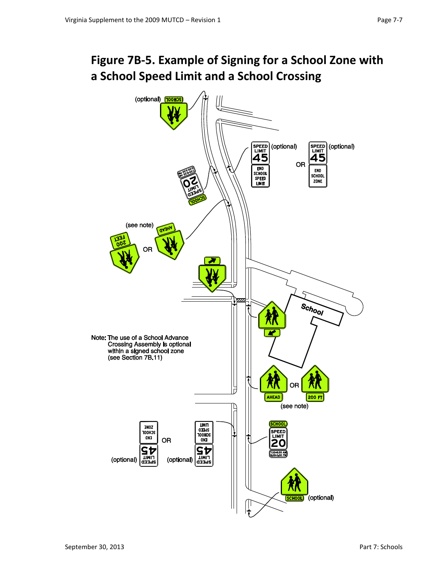## **Figure 7B-5. Example of Signing for a School Zone with a School Speed Limit and a School Crossing**

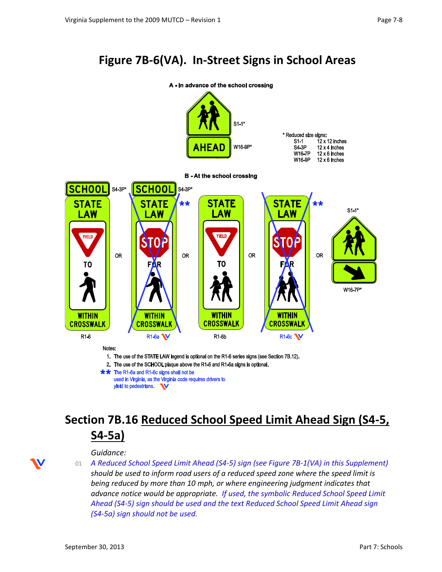## **Figure 7B-6(VA). In-Street Signs in School Areas**



# **Section 7B.16 Reduced School Speed Limit Ahead Sign (S4-5, S4-5a)**

#### *Guidance:*

01 *A Reduced School Speed Limit Ahead (S4-5) sign (see Figure 7B-1(VA) in this Supplement) should be used to inform road users of a reduced speed zone where the speed limit is being reduced by more than 10 mph, or where engineering judgment indicates that advance notice would be appropriate. If used, the symbolic Reduced School Speed Limit Ahead (S4-5) sign should be used and the text Reduced School Speed Limit Ahead sign (S4-5a) sign should not be used.*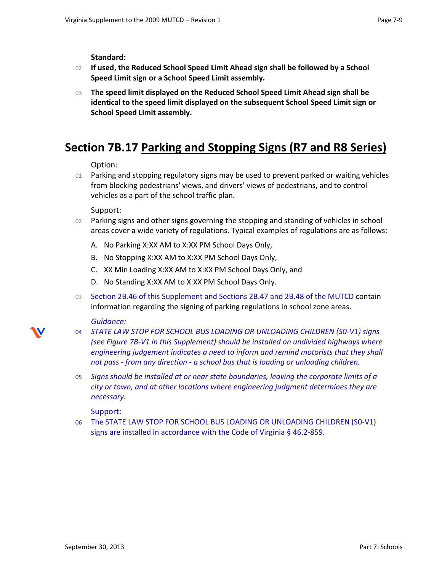**Standard:**

- 02 **If used, the Reduced School Speed Limit Ahead sign shall be followed by a School Speed Limit sign or a School Speed Limit assembly.**
- 03 **The speed limit displayed on the Reduced School Speed Limit Ahead sign shall be identical to the speed limit displayed on the subsequent School Speed Limit sign or School Speed Limit assembly.**

### **Section 7B.17 Parking and Stopping Signs (R7 and R8 Series)**

Option:

01 Parking and stopping regulatory signs may be used to prevent parked or waiting vehicles from blocking pedestrians' views, and drivers' views of pedestrians, and to control vehicles as a part of the school traffic plan.

Support:

- 02 Parking signs and other signs governing the stopping and standing of vehicles in school areas cover a wide variety of regulations. Typical examples of regulations are as follows:
	- A. No Parking X:XX AM to X:XX PM School Days Only,
	- B. No Stopping X:XX AM to X:XX PM School Days Only,
	- C. XX Min Loading X:XX AM to X:XX PM School Days Only, and
	- D. No Standing X:XX AM to X:XX PM School Days Only.
- 03 Section 2B.46 of this Supplement and Sections 2B.47 and 2B.48 of the MUTCD contain information regarding the signing of parking regulations in school zone areas.

#### *Guidance:*

- 04 *STATE LAW STOP FOR SCHOOL BUS LOADING OR UNLOADING CHILDREN (S0-V1) signs (see Figure 7B-V1 in this Supplement) should be installed on undivided highways where engineering judgement indicates a need to inform and remind motorists that they shall not pass - from any direction - a school bus that is loading or unloading children.*
- 05 *Signs should be installed at or near state boundaries, leaving the corporate limits of a city or town, and at other locations where engineering judgment determines they are necessary.*

Support:

06 The STATE LAW STOP FOR SCHOOL BUS LOADING OR UNLOADING CHILDREN (S0-V1) signs are installed in accordance with the Code of Virginia § 46.2-859.